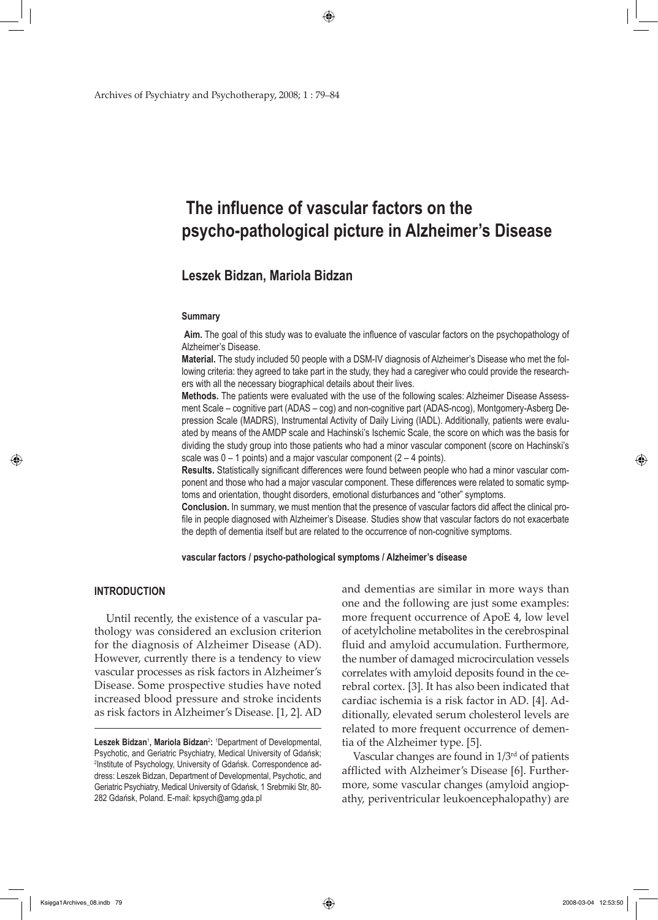Archives of Psychiatry and Psychotherapy, 2008; 1 : 79–84

# **The influence of vascular factors on the psycho-pathological picture in Alzheimer's Disease**

◈

## **Leszek Bidzan, Mariola Bidzan**

#### **Summary**

**Aim.** The goal of this study was to evaluate the influence of vascular factors on the psychopathology of Alzheimer's Disease.

**Material.** The study included 50 people with a DSM-IV diagnosis of Alzheimer's Disease who met the following criteria: they agreed to take part in the study, they had a caregiver who could provide the researchers with all the necessary biographical details about their lives.

**Methods.** The patients were evaluated with the use of the following scales: Alzheimer Disease Assessment Scale – cognitive part (ADAS – cog) and non-cognitive part (ADAS-ncog), Montgomery-Asberg Depression Scale (MADRS), Instrumental Activity of Daily Living (IADL). Additionally, patients were evaluated by means of the AMDP scale and Hachinski's Ischemic Scale, the score on which was the basis for dividing the study group into those patients who had a minor vascular component (score on Hachinski's scale was  $0 - 1$  points) and a major vascular component  $(2 - 4$  points).

**Results.** Statistically significant differences were found between people who had a minor vascular component and those who had a major vascular component. These differences were related to somatic symptoms and orientation, thought disorders, emotional disturbances and "other" symptoms.

**Conclusion.** In summary, we must mention that the presence of vascular factors did affect the clinical profile in people diagnosed with Alzheimer's Disease. Studies show that vascular factors do not exacerbate the depth of dementia itself but are related to the occurrence of non-cognitive symptoms.

**vascular factors / psycho-pathological symptoms / Alzheimer's disease** 

#### **INTRODUCTION**

↔

 Until recently, the existence of a vascular pathology was considered an exclusion criterion for the diagnosis of Alzheimer Disease (AD). However, currently there is a tendency to view vascular processes as risk factors in Alzheimer's Disease. Some prospective studies have noted increased blood pressure and stroke incidents as risk factors in Alzheimer's Disease. [1, 2]. AD and dementias are similar in more ways than one and the following are just some examples: more frequent occurrence of ApoE 4, low level of acetylcholine metabolites in the cerebrospinal fluid and amyloid accumulation. Furthermore, the number of damaged microcirculation vessels correlates with amyloid deposits found in the cerebral cortex. [3]. It has also been indicated that cardiac ischemia is a risk factor in AD. [4]. Additionally, elevated serum cholesterol levels are related to more frequent occurrence of dementia of the Alzheimer type. [5].

 Vascular changes are found in 1/3rd of patients afflicted with Alzheimer's Disease [6]. Furthermore, some vascular changes (amyloid angiopathy, periventricular leukoencephalopathy) are

Księga1Archives\_08.indb 79 2008-03-04 12:53:50

 $\Leftrightarrow$ 

Leszek Bidzan<sup>1</sup>, Mariola Bidzan<sup>2</sup>: <sup>1</sup>Department of Developmental, Psychotic, and Geriatric Psychiatry, Medical University of Gdańsk; 2 Institute of Psychology, University of Gdańsk. Correspondence address: Leszek Bidzan, Department of Developmental, Psychotic, and Geriatric Psychiatry, Medical University of Gdańsk, 1 Srebrniki Str, 80- 282 Gdańsk, Poland. E-mail: kpsych@amg.gda.pl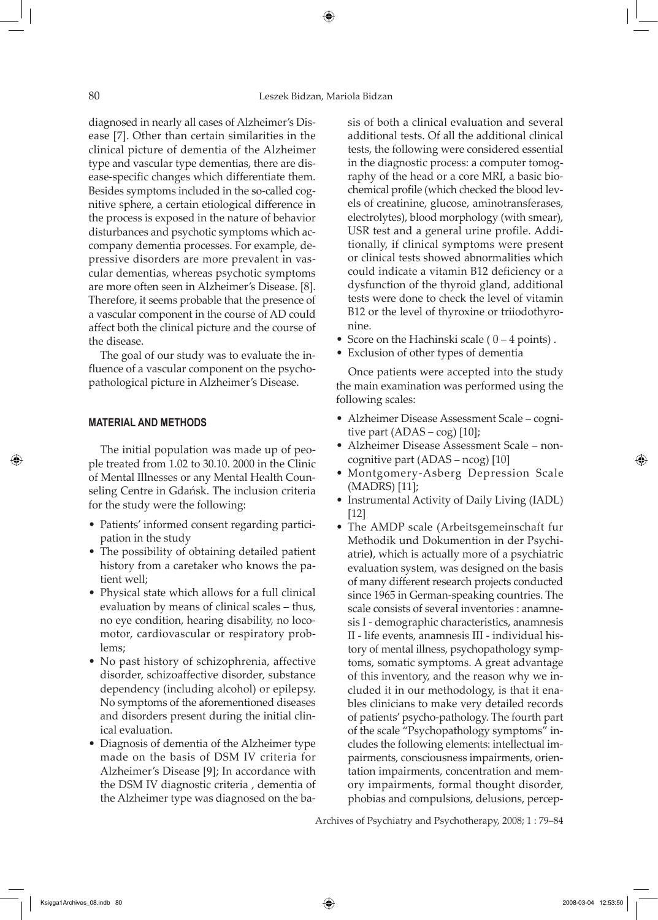⊕

diagnosed in nearly all cases of Alzheimer's Disease [7]. Other than certain similarities in the clinical picture of dementia of the Alzheimer type and vascular type dementias, there are disease-specific changes which differentiate them. Besides symptoms included in the so-called cognitive sphere, a certain etiological difference in the process is exposed in the nature of behavior disturbances and psychotic symptoms which accompany dementia processes. For example, depressive disorders are more prevalent in vascular dementias, whereas psychotic symptoms are more often seen in Alzheimer's Disease. [8]. Therefore, it seems probable that the presence of a vascular component in the course of AD could affect both the clinical picture and the course of the disease.

 The goal of our study was to evaluate the influence of a vascular component on the psychopathological picture in Alzheimer's Disease.

#### **MATERIAL AND METHODS**

↔

 The initial population was made up of people treated from 1.02 to 30.10. 2000 in the Clinic of Mental Illnesses or any Mental Health Counseling Centre in Gdańsk. The inclusion criteria for the study were the following:

- Patients' informed consent regarding participation in the study
- The possibility of obtaining detailed patient history from a caretaker who knows the patient well;
- Physical state which allows for a full clinical evaluation by means of clinical scales – thus, no eye condition, hearing disability, no locomotor, cardiovascular or respiratory problems;
- No past history of schizophrenia, affective disorder, schizoaffective disorder, substance dependency (including alcohol) or epilepsy. No symptoms of the aforementioned diseases and disorders present during the initial clinical evaluation.
- Diagnosis of dementia of the Alzheimer type made on the basis of DSM IV criteria for Alzheimer's Disease [9]; In accordance with the DSM IV diagnostic criteria , dementia of the Alzheimer type was diagnosed on the ba-

sis of both a clinical evaluation and several additional tests. Of all the additional clinical tests, the following were considered essential in the diagnostic process: a computer tomography of the head or a core MRI, a basic biochemical profile (which checked the blood levels of creatinine, glucose, aminotransferases, electrolytes), blood morphology (with smear), USR test and a general urine profile. Additionally, if clinical symptoms were present or clinical tests showed abnormalities which could indicate a vitamin B12 deficiency or a dysfunction of the thyroid gland, additional tests were done to check the level of vitamin B12 or the level of thyroxine or triiodothyronine.

- Score on the Hachinski scale ( $0 4$  points).
- Exclusion of other types of dementia

 Once patients were accepted into the study the main examination was performed using the following scales:

- Alzheimer Disease Assessment Scale cognitive part (ADAS – cog) [10];
- Alzheimer Disease Assessment Scale noncognitive part (ADAS – ncog) [10]
- Montgomery-Asberg Depression Scale (MADRS) [11];
- Instrumental Activity of Daily Living (IADL) [12]
- The AMDP scale (Arbeitsgemeinschaft fur Methodik und Dokumention in der Psychiatrie**)**, which is actually more of a psychiatric evaluation system, was designed on the basis of many different research projects conducted since 1965 in German-speaking countries. The scale consists of several inventories : anamnesis I - demographic characteristics, anamnesis II - life events, anamnesis III - individual history of mental illness, psychopathology symptoms, somatic symptoms. A great advantage of this inventory, and the reason why we included it in our methodology, is that it enables clinicians to make very detailed records of patients' psycho-pathology. The fourth part of the scale "Psychopathology symptoms" includes the following elements: intellectual impairments, consciousness impairments, orientation impairments, concentration and memory impairments, formal thought disorder, phobias and compulsions, delusions, percep-

Archives of Psychiatry and Psychotherapy, 2008; 1 : 79–84

 $\Leftrightarrow$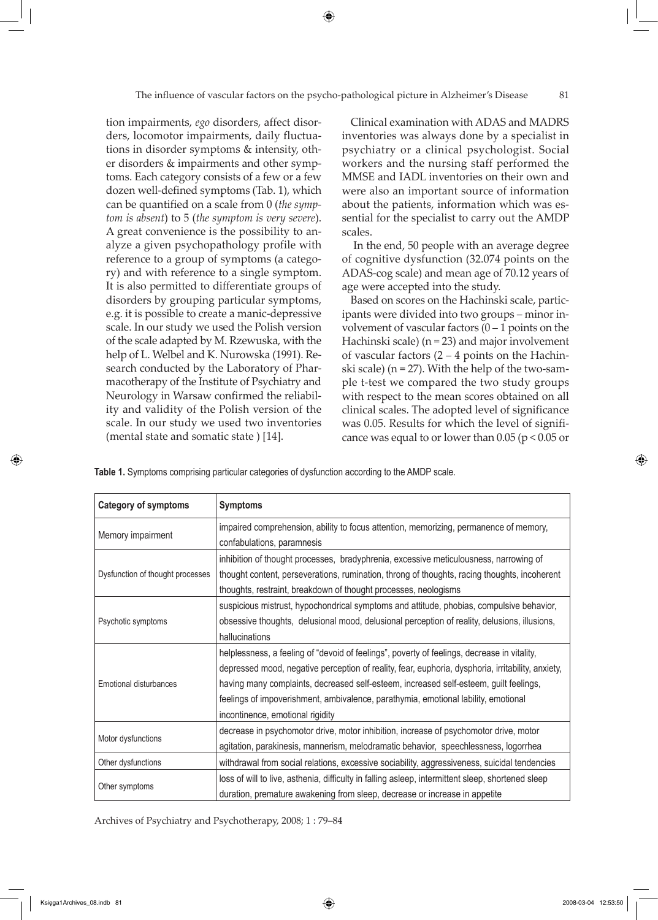The influence of vascular factors on the psycho-pathological picture in Alzheimer's Disease 81

⊕

tion impairments, *ego* disorders, affect disorders, locomotor impairments, daily fluctuations in disorder symptoms & intensity, other disorders & impairments and other symptoms. Each category consists of a few or a few dozen well-defined symptoms (Tab. 1), which can be quantified on a scale from 0 (*the symptom is absent*) to 5 (*the symptom is very severe*). A great convenience is the possibility to analyze a given psychopathology profile with reference to a group of symptoms (a category) and with reference to a single symptom. It is also permitted to differentiate groups of disorders by grouping particular symptoms, e.g. it is possible to create a manic-depressive scale. In our study we used the Polish version of the scale adapted by M. Rzewuska, with the help of L. Welbel and K. Nurowska (1991). Research conducted by the Laboratory of Pharmacotherapy of the Institute of Psychiatry and Neurology in Warsaw confirmed the reliability and validity of the Polish version of the scale. In our study we used two inventories (mental state and somatic state ) [14].

Clinical examination with ADAS and MADRS inventories was always done by a specialist in psychiatry or a clinical psychologist. Social workers and the nursing staff performed the MMSE and IADL inventories on their own and were also an important source of information about the patients, information which was essential for the specialist to carry out the AMDP scales.

 In the end, 50 people with an average degree of cognitive dysfunction (32.074 points on the ADAS-cog scale) and mean age of 70.12 years of age were accepted into the study.

Based on scores on the Hachinski scale, participants were divided into two groups – minor involvement of vascular factors  $(0 - 1$  points on the Hachinski scale) (n = 23) and major involvement of vascular factors  $(2 – 4$  points on the Hachinski scale) ( $n = 27$ ). With the help of the two-sample t-test we compared the two study groups with respect to the mean scores obtained on all clinical scales. The adopted level of significance was 0.05. Results for which the level of significance was equal to or lower than  $0.05$  ( $p < 0.05$  or

**Table 1.** Symptoms comprising particular categories of dysfunction according to the AMDP scale.

| <b>Category of symptoms</b>      | <b>Symptoms</b>                                                                                                                                                                                                                                                                                                                                                                                                     |  |  |  |
|----------------------------------|---------------------------------------------------------------------------------------------------------------------------------------------------------------------------------------------------------------------------------------------------------------------------------------------------------------------------------------------------------------------------------------------------------------------|--|--|--|
| Memory impairment                | impaired comprehension, ability to focus attention, memorizing, permanence of memory,<br>confabulations, paramnesis                                                                                                                                                                                                                                                                                                 |  |  |  |
| Dysfunction of thought processes | inhibition of thought processes, bradyphrenia, excessive meticulousness, narrowing of<br>thought content, perseverations, rumination, throng of thoughts, racing thoughts, incoherent<br>thoughts, restraint, breakdown of thought processes, neologisms                                                                                                                                                            |  |  |  |
| Psychotic symptoms               | suspicious mistrust, hypochondrical symptoms and attitude, phobias, compulsive behavior,<br>obsessive thoughts, delusional mood, delusional perception of reality, delusions, illusions,<br>hallucinations                                                                                                                                                                                                          |  |  |  |
| Emotional disturbances           | helplessness, a feeling of "devoid of feelings", poverty of feelings, decrease in vitality,<br>depressed mood, negative perception of reality, fear, euphoria, dysphoria, irritability, anxiety,<br>having many complaints, decreased self-esteem, increased self-esteem, guilt feelings,<br>feelings of impoverishment, ambivalence, parathymia, emotional lability, emotional<br>incontinence, emotional rigidity |  |  |  |
| Motor dysfunctions               | decrease in psychomotor drive, motor inhibition, increase of psychomotor drive, motor<br>agitation, parakinesis, mannerism, melodramatic behavior, speechlessness, logorrhea                                                                                                                                                                                                                                        |  |  |  |
| Other dysfunctions               | withdrawal from social relations, excessive sociability, aggressiveness, suicidal tendencies                                                                                                                                                                                                                                                                                                                        |  |  |  |
| Other symptoms                   | loss of will to live, asthenia, difficulty in falling asleep, intermittent sleep, shortened sleep<br>duration, premature awakening from sleep, decrease or increase in appetite                                                                                                                                                                                                                                     |  |  |  |

Archives of Psychiatry and Psychotherapy, 2008; 1 : 79–84

Księga1Archives\_08.indb 81 2008-03-04 12:53:50

↔

⊕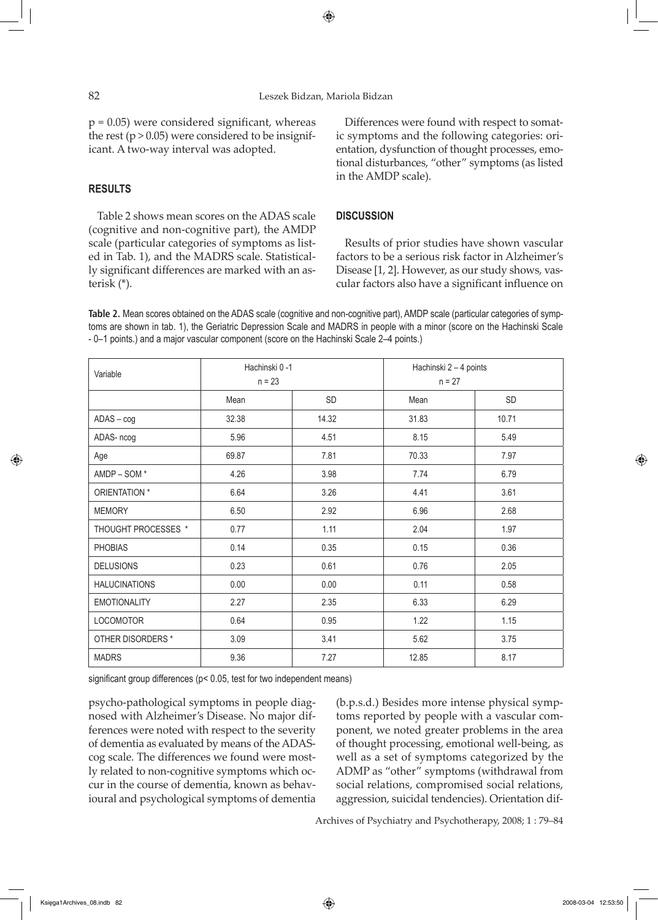## 82 Leszek Bidzan, Mariola Bidzan

⊕

 $p = 0.05$ ) were considered significant, whereas the rest ( $p > 0.05$ ) were considered to be insignificant. A two-way interval was adopted.

## **RESULTS**

↔

Table 2 shows mean scores on the ADAS scale (cognitive and non-cognitive part), the AMDP scale (particular categories of symptoms as listed in Tab. 1), and the MADRS scale. Statistically significant differences are marked with an asterisk (\*).

Differences were found with respect to somatic symptoms and the following categories: orientation, dysfunction of thought processes, emotional disturbances, "other" symptoms (as listed in the AMDP scale).

#### **DISCUSSION**

Results of prior studies have shown vascular factors to be a serious risk factor in Alzheimer's Disease [1, 2]. However, as our study shows, vascular factors also have a significant influence on

**Table 2.** Mean scores obtained on the ADAS scale (cognitive and non-cognitive part), AMDP scale (particular categories of symptoms are shown in tab. 1), the Geriatric Depression Scale and MADRS in people with a minor (score on the Hachinski Scale - 0–1 points.) and a major vascular component (score on the Hachinski Scale 2–4 points.)

| Variable             | Hachinski 0-1<br>$n = 23$ |       | Hachinski 2 - 4 points<br>$n = 27$ |       |
|----------------------|---------------------------|-------|------------------------------------|-------|
|                      | Mean                      | SD    | Mean                               | SD    |
| $ADAS - cog$         | 32.38                     | 14.32 | 31.83                              | 10.71 |
| ADAS- ncog           | 5.96                      | 4.51  | 8.15                               | 5.49  |
| Age                  | 69.87                     | 7.81  | 70.33                              | 7.97  |
| AMDP-SOM*            | 4.26                      | 3.98  | 7.74                               | 6.79  |
| ORIENTATION *        | 6.64                      | 3.26  | 4.41                               | 3.61  |
| <b>MEMORY</b>        | 6.50                      | 2.92  | 6.96                               | 2.68  |
| THOUGHT PROCESSES *  | 0.77                      | 1.11  | 2.04                               | 1.97  |
| PHOBIAS              | 0.14                      | 0.35  | 0.15                               | 0.36  |
| <b>DELUSIONS</b>     | 0.23                      | 0.61  | 0.76                               | 2.05  |
| <b>HALUCINATIONS</b> | 0.00                      | 0.00  | 0.11                               | 0.58  |
| <b>EMOTIONALITY</b>  | 2.27                      | 2.35  | 6.33                               | 6.29  |
| LOCOMOTOR            | 0.64                      | 0.95  | 1.22                               | 1.15  |
| OTHER DISORDERS *    | 3.09                      | 3.41  | 5.62                               | 3.75  |
| <b>MADRS</b>         | 9.36                      | 7.27  | 12.85                              | 8.17  |

significant group differences (p< 0.05, test for two independent means)

psycho-pathological symptoms in people diagnosed with Alzheimer's Disease. No major differences were noted with respect to the severity of dementia as evaluated by means of the ADAScog scale. The differences we found were mostly related to non-cognitive symptoms which occur in the course of dementia, known as behavioural and psychological symptoms of dementia

(b.p.s.d.) Besides more intense physical symptoms reported by people with a vascular component, we noted greater problems in the area of thought processing, emotional well-being, as well as a set of symptoms categorized by the ADMP as "other" symptoms (withdrawal from social relations, compromised social relations, aggression, suicidal tendencies). Orientation dif-

Archives of Psychiatry and Psychotherapy, 2008; 1 : 79–84

⊕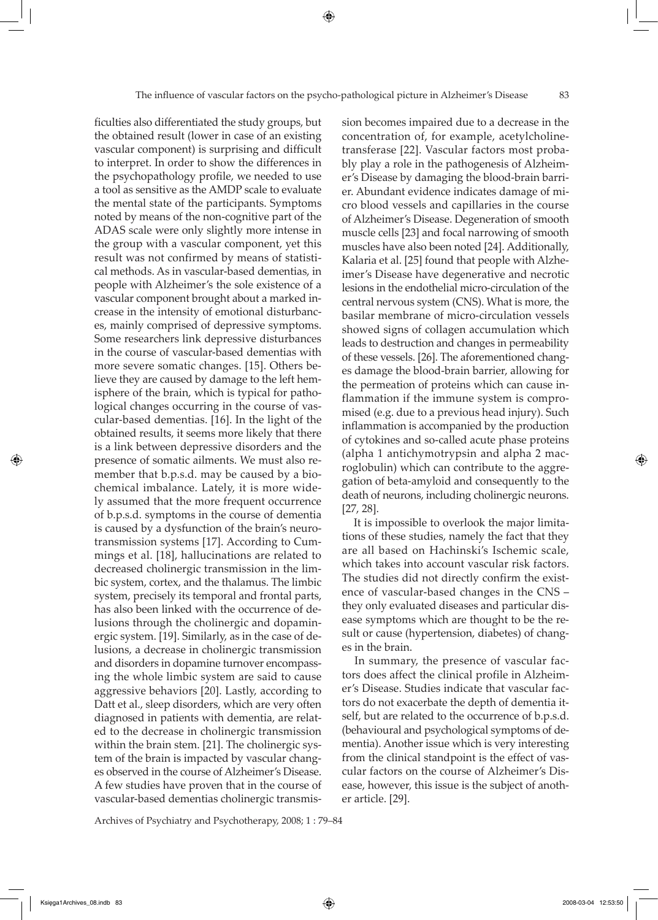⊕

ficulties also differentiated the study groups, but the obtained result (lower in case of an existing vascular component) is surprising and difficult to interpret. In order to show the differences in the psychopathology profile, we needed to use a tool as sensitive as the AMDP scale to evaluate the mental state of the participants. Symptoms noted by means of the non-cognitive part of the ADAS scale were only slightly more intense in the group with a vascular component, yet this result was not confirmed by means of statistical methods. As in vascular-based dementias, in people with Alzheimer's the sole existence of a vascular component brought about a marked increase in the intensity of emotional disturbances, mainly comprised of depressive symptoms. Some researchers link depressive disturbances in the course of vascular-based dementias with more severe somatic changes. [15]. Others believe they are caused by damage to the left hemisphere of the brain, which is typical for pathological changes occurring in the course of vascular-based dementias. [16]. In the light of the obtained results, it seems more likely that there is a link between depressive disorders and the presence of somatic ailments. We must also remember that b.p.s.d. may be caused by a biochemical imbalance. Lately, it is more widely assumed that the more frequent occurrence of b.p.s.d. symptoms in the course of dementia is caused by a dysfunction of the brain's neurotransmission systems [17]. According to Cummings et al. [18], hallucinations are related to decreased cholinergic transmission in the limbic system, cortex, and the thalamus. The limbic system, precisely its temporal and frontal parts, has also been linked with the occurrence of delusions through the cholinergic and dopaminergic system. [19]. Similarly, as in the case of delusions, a decrease in cholinergic transmission and disorders in dopamine turnover encompassing the whole limbic system are said to cause aggressive behaviors [20]. Lastly, according to Datt et al., sleep disorders, which are very often diagnosed in patients with dementia, are related to the decrease in cholinergic transmission within the brain stem. [21]. The cholinergic system of the brain is impacted by vascular changes observed in the course of Alzheimer's Disease. A few studies have proven that in the course of vascular-based dementias cholinergic transmission becomes impaired due to a decrease in the concentration of, for example, acetylcholinetransferase [22]. Vascular factors most probably play a role in the pathogenesis of Alzheimer's Disease by damaging the blood-brain barrier. Abundant evidence indicates damage of micro blood vessels and capillaries in the course of Alzheimer's Disease. Degeneration of smooth muscle cells [23] and focal narrowing of smooth muscles have also been noted [24]. Additionally, Kalaria et al. [25] found that people with Alzheimer's Disease have degenerative and necrotic lesions in the endothelial micro-circulation of the central nervous system (CNS). What is more, the basilar membrane of micro-circulation vessels showed signs of collagen accumulation which leads to destruction and changes in permeability of these vessels. [26]. The aforementioned changes damage the blood-brain barrier, allowing for the permeation of proteins which can cause inflammation if the immune system is compromised (e.g. due to a previous head injury). Such inflammation is accompanied by the production of cytokines and so-called acute phase proteins (alpha 1 antichymotrypsin and alpha 2 macroglobulin) which can contribute to the aggregation of beta-amyloid and consequently to the death of neurons, including cholinergic neurons. [27, 28].

 It is impossible to overlook the major limitations of these studies, namely the fact that they are all based on Hachinski's Ischemic scale, which takes into account vascular risk factors. The studies did not directly confirm the existence of vascular-based changes in the CNS – they only evaluated diseases and particular disease symptoms which are thought to be the result or cause (hypertension, diabetes) of changes in the brain.

 In summary, the presence of vascular factors does affect the clinical profile in Alzheimer's Disease. Studies indicate that vascular factors do not exacerbate the depth of dementia itself, but are related to the occurrence of b.p.s.d. (behavioural and psychological symptoms of dementia). Another issue which is very interesting from the clinical standpoint is the effect of vascular factors on the course of Alzheimer's Disease, however, this issue is the subject of another article. [29].

Archives of Psychiatry and Psychotherapy, 2008; 1 : 79–84

⇔

 $\Leftrightarrow$